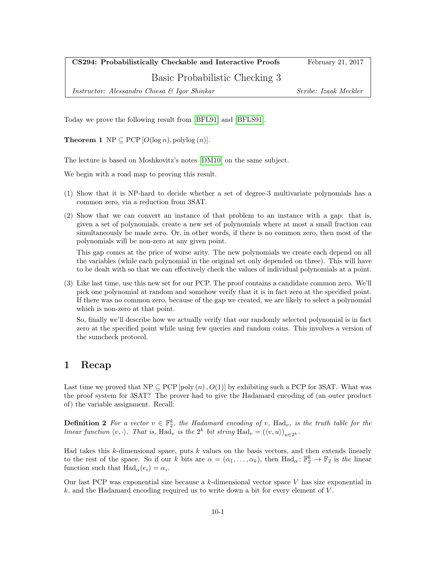CS294: Probabilistically Checkable and Interactive Proofs February 21, 2017

Basic Probabilistic Checking 3

Instructor: Alessandro Chiesa & Igor Shinkar Scribe: Izaak Meckler

Today we prove the following result from [\[BFL91\]](#page-7-0) and [\[BFLS91\]](#page-7-1).

**Theorem 1** NP  $\subseteq$  PCP  $[O(\log n), \text{polylog}(n)]$ .

The lecture is based on Moshkovitz's notes [\[DM10\]](#page-7-2) on the same subject.

We begin with a road map to proving this result.

- (1) Show that it is NP-hard to decide whether a set of degree-3 multivariate polynomials has a common zero, via a reduction from 3SAT.
- (2) Show that we can convert an instance of that problem to an instance with a gap: that is, given a set of polynomials, create a new set of polynomials where at most a small fraction can simultaneously be made zero. Or, in other words, if there is no common zero, then most of the polynomials will be non-zero at any given point.

This gap comes at the price of worse arity. The new polynomials we create each depend on all the variables (while each polynomial in the original set only depended on three). This will have to be dealt with so that we can effectively check the values of individual polynomials at a point.

(3) Like last time, use this new set for our PCP. The proof contains a candidate common zero. We'll pick one polynomial at random and somehow verify that it is in fact zero at the specified point. If there was no common zero, because of the gap we created, we are likely to select a polynomial which is non-zero at that point.

So, finally we'll describe how we actually verify that our randomly selected polynomial is in fact zero at the specified point while using few queries and random coins. This involves a version of the sumcheck protocol.

## 1 Recap

Last time we proved that  $NP \subseteq PCP$  [poly  $(n), O(1)$ ] by exhibiting such a PCP for 3SAT. What was the proof system for 3SAT? The prover had to give the Hadamard encoding of (an outer product of) the variable assignment. Recall:

**Definition 2** For a vector  $v \in \mathbb{F}_2^k$ , the Hadamard encoding of v, Had<sub>v</sub>, is the truth table for the linear function  $\langle v, \cdot \rangle$ . That is, Had<sub>v</sub> is the 2<sup>k</sup> bit string Had<sub>v</sub> =  $(\langle v, u \rangle)_{u \in 2^k}$ .

Had takes this  $k$ -dimensional space, puts  $k$  values on the basis vectors, and then extends linearly to the rest of the space. So if our k bits are  $\alpha = (\alpha_1, \ldots, \alpha_k)$ , then  $\text{Had}_{\alpha} \colon \mathbb{F}_2^k \to \mathbb{F}_2$  is the linear function such that  $\text{Had}_{\alpha}(e_i) = \alpha_i$ .

Our last PCP was exponential size because a  $k$ -dimensional vector space  $V$  has size exponential in  $k$ , and the Hadamard encoding required us to write down a bit for every element of  $V$ .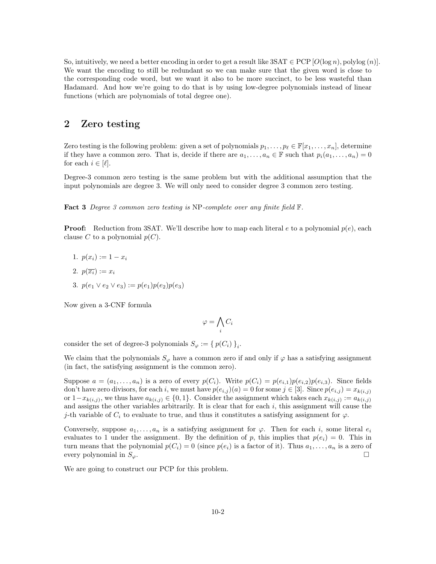So, intuitively, we need a better encoding in order to get a result like  $3SAT \in PCP$  [ $O(log n)$ , polylog  $(n)$ ]. We want the encoding to still be redundant so we can make sure that the given word is close to the corresponding code word, but we want it also to be more succinct, to be less wasteful than Hadamard. And how we're going to do that is by using low-degree polynomials instead of linear functions (which are polynomials of total degree one).

## 2 Zero testing

Zero testing is the following problem: given a set of polynomials  $p_1, \ldots, p_\ell \in \mathbb{F}[x_1, \ldots, x_n]$ , determine if they have a common zero. That is, decide if there are  $a_1, \ldots, a_n \in \mathbb{F}$  such that  $p_i(a_1, \ldots, a_n) = 0$ for each  $i \in [\ell].$ 

Degree-3 common zero testing is the same problem but with the additional assumption that the input polynomials are degree 3. We will only need to consider degree 3 common zero testing.

**Fact 3** Degree 3 common zero testing is NP-complete over any finite field  $\mathbb{F}$ .

**Proof:** Reduction from 3SAT. We'll describe how to map each literal e to a polynomial  $p(e)$ , each clause C to a polynomial  $p(C)$ .

- 1.  $p(x_i) := 1 x_i$
- 2.  $p(\overline{x_i}) := x_i$
- 3.  $p(e_1 \vee e_2 \vee e_3) := p(e_1)p(e_2)p(e_3)$

Now given a 3-CNF formula

$$
\varphi = \bigwedge_i C_i
$$

consider the set of degree-3 polynomials  $S_{\varphi} := \{ p(C_i) \}_{i}$ .

We claim that the polynomials  $S_{\varphi}$  have a common zero if and only if  $\varphi$  has a satisfying assignment (in fact, the satisfying assignment is the common zero).

Suppose  $a = (a_1, \ldots, a_n)$  is a zero of every  $p(C_i)$ . Write  $p(C_i) = p(e_{i,1})p(e_{i,2})p(e_{i,3})$ . Since fields don't have zero divisors, for each i, we must have  $p(e_{i,j})(a) = 0$  for some  $j \in [3]$ . Since  $p(e_{i,j}) = x_{k(i,j)}$ or  $1-x_{k(i,j)}$ , we thus have  $a_{k(i,j)} \in \{0,1\}$ . Consider the assignment which takes each  $x_{k(i,j)} := a_{k(i,j)}$ and assigns the other variables arbitrarily. It is clear that for each  $i$ , this assignment will cause the j-th variable of  $C_i$  to evaluate to true, and thus it constitutes a satisfying assignment for  $\varphi$ .

Conversely, suppose  $a_1, \ldots, a_n$  is a satisfying assignment for  $\varphi$ . Then for each i, some literal  $e_i$ evaluates to 1 under the assignment. By the definition of p, this implies that  $p(e_i) = 0$ . This in turn means that the polynomial  $p(C_i) = 0$  (since  $p(e_i)$  is a factor of it). Thus  $a_1, \ldots, a_n$  is a zero of every polynomial in  $S_{\varphi}$ .

We are going to construct our PCP for this problem.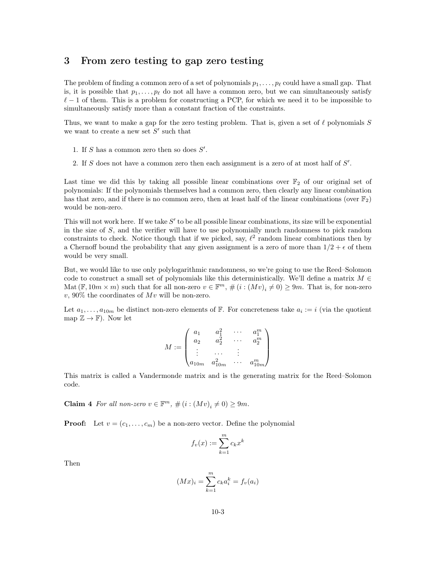## <span id="page-2-0"></span>3 From zero testing to gap zero testing

The problem of finding a common zero of a set of polynomials  $p_1, \ldots, p_\ell$  could have a small gap. That is, it is possible that  $p_1, \ldots, p_\ell$  do not all have a common zero, but we can simultaneously satisfy  $\ell - 1$  of them. This is a problem for constructing a PCP, for which we need it to be impossible to simultaneously satisfy more than a constant fraction of the constraints.

Thus, we want to make a gap for the zero testing problem. That is, given a set of  $\ell$  polynomials S we want to create a new set  $S'$  such that

- 1. If  $S$  has a common zero then so does  $S'$ .
- 2. If  $S$  does not have a common zero then each assignment is a zero of at most half of  $S'$ .

Last time we did this by taking all possible linear combinations over  $\mathbb{F}_2$  of our original set of polynomials: If the polynomials themselves had a common zero, then clearly any linear combination has that zero, and if there is no common zero, then at least half of the linear combinations (over  $\mathbb{F}_2$ ) would be non-zero.

This will not work here. If we take  $S'$  to be all possible linear combinations, its size will be exponential in the size of  $S$ , and the verifier will have to use polynomially much randomness to pick random constraints to check. Notice though that if we picked, say,  $\ell^2$  random linear combinations then by a Chernoff bound the probability that any given assignment is a zero of more than  $1/2 + \epsilon$  of them would be very small.

But, we would like to use only polylogarithmic randomness, so we're going to use the Reed–Solomon code to construct a small set of polynomials like this deterministically. We'll define a matrix  $M \in$ Mat  $(\mathbb{F}, 10m \times m)$  such that for all non-zero  $v \in \mathbb{F}^m$ ,  $\#(i:(Mv)_i \neq 0) \geq 9m$ . That is, for non-zero  $v, 90\%$  the coordinates of  $Mv$  will be non-zero.

Let  $a_1, \ldots, a_{10m}$  be distinct non-zero elements of F. For concreteness take  $a_i := i$  (via the quotient map  $\mathbb{Z} \to \mathbb{F}$ ). Now let

$$
M := \begin{pmatrix} a_1 & a_1^2 & \cdots & a_1^m \\ a_2 & a_2^2 & \cdots & a_2^m \\ \vdots & \cdots & \vdots & \\ a_{10m} & a_{10m}^2 & \cdots & a_{10m}^m \end{pmatrix}
$$

This matrix is called a Vandermonde matrix and is the generating matrix for the Reed–Solomon code.

**Claim 4** For all non-zero  $v \in \mathbb{F}^m$ ,  $\#(i:(Mv)_i \neq 0) \geq 9m$ .

**Proof:** Let  $v = (c_1, \ldots, c_m)$  be a non-zero vector. Define the polynomial

$$
f_v(x):=\sum_{k=1}^m c_k x^k
$$

Then

$$
(Mx)_i = \sum_{k=1}^{m} c_k a_i^k = f_v(a_i)
$$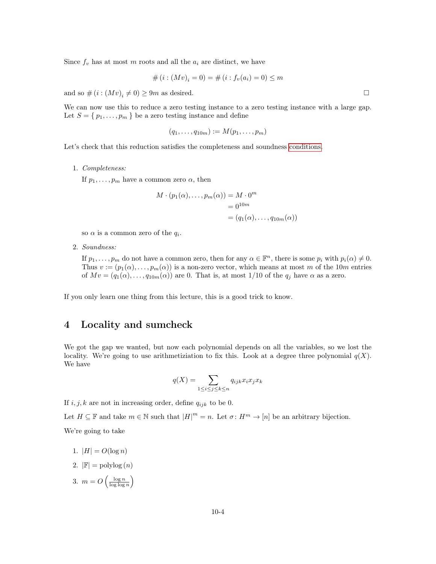Since  $f_v$  has at most m roots and all the  $a_i$  are distinct, we have

$$
# (i : (Mv)_i = 0) = # (i : f_v(a_i) = 0) \le m
$$

and so  $\#(i:(Mv)_i\neq 0) \geq 9m$  as desired.

We can now use this to reduce a zero testing instance to a zero testing instance with a large gap. Let  $S = \{p_1, \ldots, p_m\}$  be a zero testing instance and define

$$
(q_1,\ldots,q_{10m}):=M(p_1,\ldots,p_m)
$$

Let's check that this reduction satisfies the completeness and soundness [conditions.](#page-2-0)

1. Completeness:

If  $p_1, \ldots, p_m$  have a common zero  $\alpha$ , then

$$
M \cdot (p_1(\alpha), \dots, p_m(\alpha)) = M \cdot 0^m
$$
  
=  $0^{10m}$   
=  $(q_1(\alpha), \dots, q_{10m}(\alpha))$ 

so  $\alpha$  is a common zero of the  $q_i$ .

2. Soundness:

If  $p_1, \ldots, p_m$  do not have a common zero, then for any  $\alpha \in \mathbb{F}^n$ , there is some  $p_i$  with  $p_i(\alpha) \neq 0$ . Thus  $v := (p_1(\alpha), \ldots, p_m(\alpha))$  is a non-zero vector, which means at most m of the 10m entries of  $Mv = (q_1(\alpha), \ldots, q_{10m}(\alpha))$  are 0. That is, at most 1/10 of the  $q_j$  have  $\alpha$  as a zero.

If you only learn one thing from this lecture, this is a good trick to know.

# 4 Locality and sumcheck

We got the gap we wanted, but now each polynomial depends on all the variables, so we lost the locality. We're going to use arithmetiziation to fix this. Look at a degree three polynomial  $q(X)$ . We have

$$
q(X) = \sum_{1 \le i \le j \le k \le n} q_{ijk} x_i x_j x_k
$$

If  $i, j, k$  are not in increasing order, define  $q_{ijk}$  to be 0.

Let  $H \subseteq \mathbb{F}$  and take  $m \in \mathbb{N}$  such that  $|H|^m = n$ . Let  $\sigma: H^m \to [n]$  be an arbitrary bijection. We're going to take

- 1.  $|H| = O(\log n)$
- 2.  $|\mathbb{F}| = \text{polylog}(n)$
- 3.  $m = O\left(\frac{\log n}{\log \log n}\right)$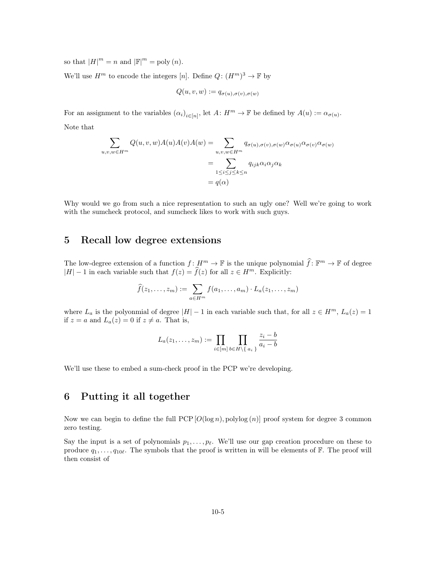so that  $|H|^m = n$  and  $|\mathbb{F}|^m = \text{poly}(n)$ .

We'll use  $H^m$  to encode the integers [n]. Define  $Q: (H^m)^3 \to \mathbb{F}$  by

$$
Q(u, v, w) := q_{\sigma(u), \sigma(v), \sigma(w)}
$$

For an assignment to the variables  $(\alpha_i)_{i \in [n]}$ , let  $A: H^m \to \mathbb{F}$  be defined by  $A(u) := \alpha_{\sigma(u)}$ . Note that

$$
\sum_{u,v,w \in H^m} Q(u,v,w)A(u)A(v)A(w) = \sum_{u,v,w \in H^m} q_{\sigma(u),\sigma(v),\sigma(w)}\alpha_{\sigma(u)}\alpha_{\sigma(v)}\alpha_{\sigma(w)}
$$

$$
= \sum_{1 \le i \le j \le k \le n} q_{ijk}\alpha_i\alpha_j\alpha_k
$$

$$
= q(\alpha)
$$

Why would we go from such a nice representation to such an ugly one? Well we're going to work with the sumcheck protocol, and sumcheck likes to work with such guys.

## 5 Recall low degree extensions

The low-degree extension of a function  $f: H^m \to \mathbb{F}$  is the unique polynomial  $\hat{f}: \mathbb{F}^m \to \mathbb{F}$  of degree  $|H| - 1$  in each variable such that  $f(z) = \hat{f}(z)$  for all  $z \in H^m$ . Explicitly:

$$
\widehat{f}(z_1,\ldots,z_m):=\sum_{a\in H^m}f(a_1,\ldots,a_m)\cdot L_a(z_1,\ldots,z_m)
$$

where  $L_a$  is the polyonmial of degree  $|H| - 1$  in each variable such that, for all  $z \in H^m$ ,  $L_a(z) = 1$ if  $z = a$  and  $L_a(z) = 0$  if  $z \neq a$ . That is,

$$
L_a(z_1,\ldots,z_m):=\prod_{i\in[m]}\prod_{b\in H\setminus\set{a_i}}\frac{z_i-b}{a_i-b}
$$

We'll use these to embed a sum-check proof in the PCP we're developing.

# 6 Putting it all together

Now we can begin to define the full  $PCP[O(\log n), polylog(n)]$  proof system for degree 3 common zero testing.

Say the input is a set of polynomials  $p_1, \ldots, p_\ell$ . We'll use our gap creation procedure on these to produce  $q_1, \ldots, q_{10\ell}$ . The symbols that the proof is written in will be elements of F. The proof will then consist of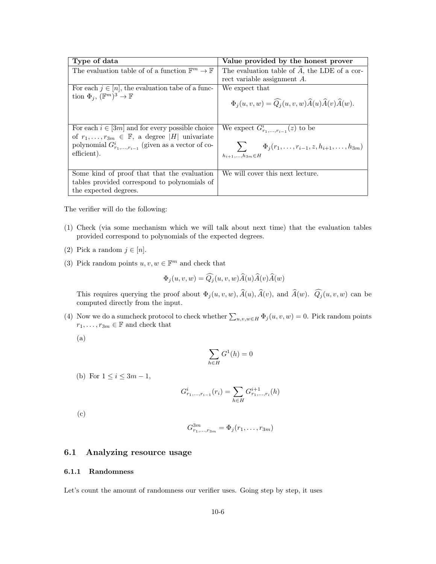| Type of data                                                        | Value provided by the honest prover                                                      |
|---------------------------------------------------------------------|------------------------------------------------------------------------------------------|
| The evaluation table of of a function $\mathbb{F}^m \to \mathbb{F}$ | The evaluation table of $\widehat{A}$ , the LDE of a cor-                                |
|                                                                     | rect variable assignment A.                                                              |
| For each $j \in [n]$ , the evaluation tabe of a func-               | We expect that                                                                           |
| tion $\Phi_i$ , $(\mathbb{F}^m)^3 \to \mathbb{F}$                   | $\Phi_i(u, v, w) = \widehat{Q}_i(u, v, w) \widehat{A}(u) \widehat{A}(v) \widehat{A}(w).$ |
| For each $i \in [3m]$ and for every possible choice                 | We expect $G_{r_1,\ldots,r_{i-1}}^i(z)$ to be                                            |
| of $r_1, \ldots, r_{3m} \in \mathbb{F}$ , a degree  H  univariate   |                                                                                          |
| polynomial $G_{r_1,,r_{i-1}}^i$ (given as a vector of co-           | $\sum \Phi_j(r_1,\ldots,r_{i-1},z,h_{i+1},\ldots,h_{3m})$                                |
| efficient).                                                         | $h_{i+1},,h_{3m} \in H$                                                                  |
|                                                                     |                                                                                          |
| Some kind of proof that that the evaluation                         | We will cover this next lecture.                                                         |
| tables provided correspond to polynomials of                        |                                                                                          |
| the expected degrees.                                               |                                                                                          |

The verifier will do the following:

- (1) Check (via some mechanism which we will talk about next time) that the evaluation tables provided correspond to polynomials of the expected degrees.
- (2) Pick a random  $j \in [n]$ .
- (3) Pick random points  $u, v, w \in \mathbb{F}^m$  and check that

$$
\Phi_j(u, v, w) = \widehat{Q}_j(u, v, w) \widehat{A}(u) \widehat{A}(v) \widehat{A}(w)
$$

 $\sim$ 

This requires querying the proof about  $\Phi_j(u, v, w), \hat{A}(u), \hat{A}(v)$ , and  $\hat{A}(w)$ .  $\widehat{Q}_j(u, v, w)$  can be computed directly from the input.

(4) Now we do a sumcheck protocol to check whether  $\sum_{u,v,w\in H} \Phi_j(u,v,w) = 0$ . Pick random points  $r_1, \ldots, r_{3m} \in \mathbb{F}$  and check that

(a)

$$
\sum_{h \in H} G^1(h) = 0
$$

(b) For  $1 \leq i \leq 3m-1$ ,

$$
G_{r_1,...,r_{i-1}}^i(r_i) = \sum_{h \in H} G_{r_1,...,r_i}^{i+1}(h)
$$

(c)

$$
G_{r_1,...,r_{3m}}^{3m} = \Phi_j(r_1,...,r_{3m})
$$

## 6.1 Analyzing resource usage

#### 6.1.1 Randomness

Let's count the amount of randomness our verifier uses. Going step by step, it uses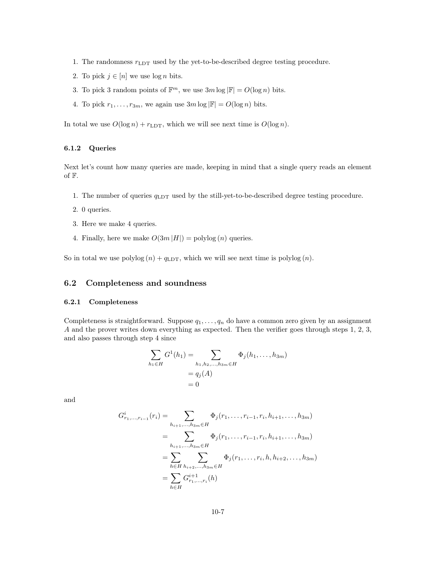- 1. The randomness  $r_{\text{LDT}}$  used by the yet-to-be-described degree testing procedure.
- 2. To pick  $j \in [n]$  we use  $\log n$  bits.
- 3. To pick 3 random points of  $\mathbb{F}^m$ , we use  $3m \log |\mathbb{F}| = O(\log n)$  bits.
- 4. To pick  $r_1, \ldots, r_{3m}$ , we again use  $3m \log |\mathbb{F}| = O(\log n)$  bits.

In total we use  $O(\log n) + r_{\text{LDT}}$ , which we will see next time is  $O(\log n)$ .

#### 6.1.2 Queries

Next let's count how many queries are made, keeping in mind that a single query reads an element of F.

- 1. The number of queries  $q_{\text{LDT}}$  used by the still-yet-to-be-described degree testing procedure.
- 2. 0 queries.
- 3. Here we make 4 queries.
- 4. Finally, here we make  $O(3m |H|) = \text{polylog}(n)$  queries.

So in total we use  $\text{polylog}(n) + q_{\text{LDT}}$ , which we will see next time is  $\text{polylog}(n)$ .

### 6.2 Completeness and soundness

#### 6.2.1 Completeness

Completeness is straightforward. Suppose  $q_1, \ldots, q_n$  do have a common zero given by an assignment A and the prover writes down everything as expected. Then the verifier goes through steps 1, 2, 3, and also passes through step 4 since

$$
\sum_{h_1 \in H} G^1(h_1) = \sum_{h_1, h_2, \dots, h_{3m} \in H} \Phi_j(h_1, \dots, h_{3m})
$$
  
=  $q_j(A)$   
= 0

and

$$
G_{r_1,\dots,r_{i-1}}^i(r_i) = \sum_{h_{i+1},\dots,h_{3m} \in H} \Phi_j(r_1,\dots,r_{i-1},r_i,h_{i+1},\dots,h_{3m})
$$
  
= 
$$
\sum_{h_{i+1},\dots,h_{3m} \in H} \Phi_j(r_1,\dots,r_{i-1},r_i,h_{i+1},\dots,h_{3m})
$$
  
= 
$$
\sum_{h \in H} \sum_{h_{i+2},\dots,h_{3m} \in H} \Phi_j(r_1,\dots,r_i,h,h_{i+2},\dots,h_{3m})
$$
  
= 
$$
\sum_{h \in H} G_{r_1,\dots,r_i}^{i+1}(h)
$$